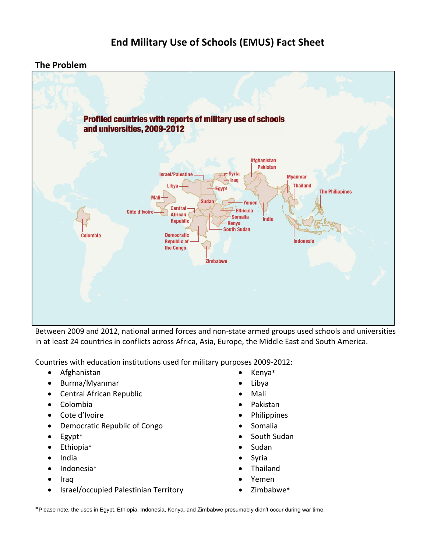## **End Military Use of Schools (EMUS) Fact Sheet**

## **The Problem**



Between 2009 and 2012, national armed forces and non-state armed groups used schools and universities in at least 24 countries in conflicts across Africa, Asia, Europe, the Middle East and South America.

Countries with education institutions used for military purposes 2009-2012:

- Afghanistan
- Burma/Myanmar
- Central African Republic
- Colombia
- Cote d'Ivoire
- Democratic Republic of Congo
- Egypt\*
- Ethiopia\*
- India
- Indonesia\*
- Iraq
- Israel/occupied Palestinian Territory
- Kenya\*
- Libya
- Mali
- Pakistan
- Philippines
- Somalia
- South Sudan
- Sudan
- Syria
- Thailand
- Yemen
- Zimbabwe\*

\*Please note, the uses in Egypt, Ethiopia, Indonesia, Kenya, and Zimbabwe presumably didn't occur during war time.